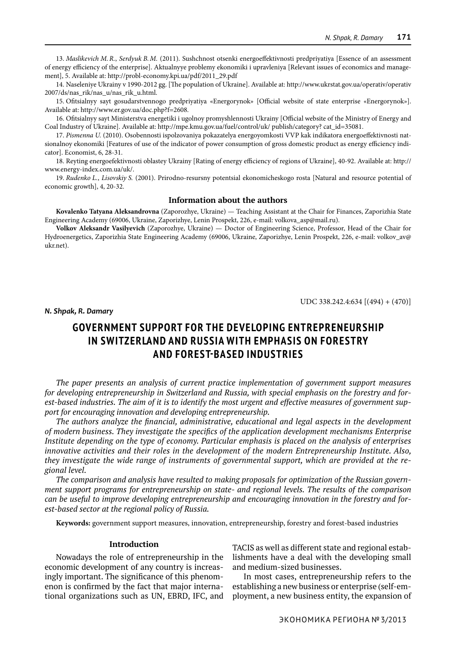# **Government support for the developing entrepreneurship in Switzerland and Russia with emphasis on forestry and forest-based industries**

*The paper presents an analysis of current practice implementation of government support measures for developing entrepreneurship in Switzerland and Russia, with special emphasis on the forestry and forest-based industries. The aim of it is to identify the most urgent and effective measures of government support for encouraging innovation and developing entrepreneurship.* 

*The authors analyze the financial, administrative, educational and legal aspects in the development of modern business. They investigate the specifics of the application development mechanisms Enterprise Institute depending on the type of economy. Particular emphasis is placed on the analysis of enterprises innovative activities and their roles in the development of the modern Entrepreneurship Institute. Also, they investigate the wide range of instruments of governmental support, which are provided at the regional level.*

*The comparison and analysis have resulted to making proposals for optimization of the Russian government support programs for entrepreneurship on state- and regional levels. The results of the comparison can be useful to improve developing entrepreneurship and encouraging innovation in the forestry and forest-based sector at the regional policy of Russia.*

**Keywords:** government support measures, innovation, entrepreneurship, forestry and forest-based industries

# **Introduction**

Nowadays the role of entrepreneurship in the economic development of any country is increasingly important. The significance of this phenomenon is confirmed by the fact that major international organizations such as UN, EBRD, IFC, and TACIS as well as different state and regional establishments have a deal with the developing small and medium-sized businesses.

In most cases, entrepreneurship refers to the establishing a new business or enterprise (self-employment, a new business entity, the expansion of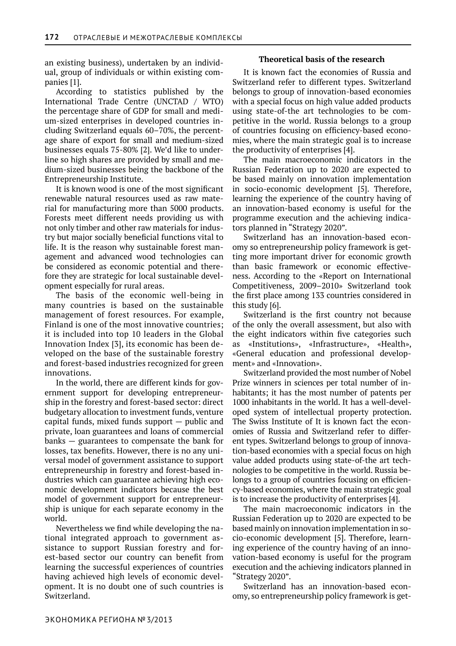an existing business), undertaken by an individual, group of individuals or within existing companies [1].

According to statistics published by the International Trade Centre (UNCTAD / WTO) the percentage share of GDP for small and medium-sized enterprises in developed countries including Switzerland equals 60–70%, the percentage share of export for small and medium-sized businesses equals 75-80% [2]. We'd like to underline so high shares are provided by small and medium-sized businesses being the backbone of the Entrepreneurship Institute.

It is known wood is one of the most significant renewable natural resources used as raw material for manufacturing more than 5000 products. Forests meet different needs providing us with not only timber and other raw materials for industry but major socially beneficial functions vital to life. It is the reason why sustainable forest management and advanced wood technologies can be considered as economic potential and therefore they are strategic for local sustainable development especially for rural areas.

The basis of the economic well-being in many countries is based on the sustainable management of forest resources. For example, Finland is one of the most innovative countries; it is included into top 10 leaders in the Global Innovation Index [3], its economic has been developed on the base of the sustainable forestry and forest-based industries recognized for green innovations.

In the world, there are different kinds for government support for developing entrepreneurship in the forestry and forest-based sector: direct budgetary allocation to investment funds, venture capital funds, mixed funds support — public and private, loan guarantees and loans of commercial banks — guarantees to compensate the bank for losses, tax benefits. However, there is no any universal model of government assistance to support entrepreneurship in forestry and forest-based industries which can guarantee achieving high economic development indicators because the best model of government support for entrepreneurship is unique for each separate economy in the world.

Nevertheless we find while developing the national integrated approach to government assistance to support Russian forestry and forest-based sector our country can benefit from learning the successful experiences of countries having achieved high levels of economic development. It is no doubt one of such countries is Switzerland.

## **Theoretical basis of the research**

It is known fact the economies of Russia and Switzerland refer to different types. Switzerland belongs to group of innovation-based economies with a special focus on high value added products using state-of-the art technologies to be competitive in the world. Russia belongs to a group of countries focusing on efficiency-based economies, where the main strategic goal is to increase the productivity of enterprises [4].

The main macroeconomic indicators in the Russian Federation up to 2020 are expected to be based mainly on innovation implementation in socio-economic development [5]. Therefore, learning the experience of the country having of an innovation-based economy is useful for the programme execution and the achieving indicators planned in "Strategy 2020".

Switzerland has an innovation-based economy so entrepreneurship policy framework is getting more important driver for economic growth than basic framework or economic effectiveness. According to the «Report on International Competitiveness, 2009–2010» Switzerland took the first place among 133 countries considered in this study [6].

Switzerland is the first country not because of the only the overall assessment, but also with the eight indicators within five categories such as «Institutions», «Infrastructure», «Health», «General education and professional development» and «Innovation».

Switzerland provided the most number of Nobel Prize winners in sciences per total number of inhabitants; it has the most number of patents per 1000 inhabitants in the world. It has a well-developed system of intellectual property protection. The Swiss Institute of It is known fact the economies of Russia and Switzerland refer to different types. Switzerland belongs to group of innovation-based economies with a special focus on high value added products using state-of-the art technologies to be competitive in the world. Russia belongs to a group of countries focusing on efficiency-based economies, where the main strategic goal is to increase the productivity of enterprises [4].

The main macroeconomic indicators in the Russian Federation up to 2020 are expected to be based mainly on innovation implementation in socio-economic development [5]. Therefore, learning experience of the country having of an innovation-based economy is useful for the program execution and the achieving indicators planned in "Strategy 2020".

Switzerland has an innovation-based economy, so entrepreneurship policy framework is get-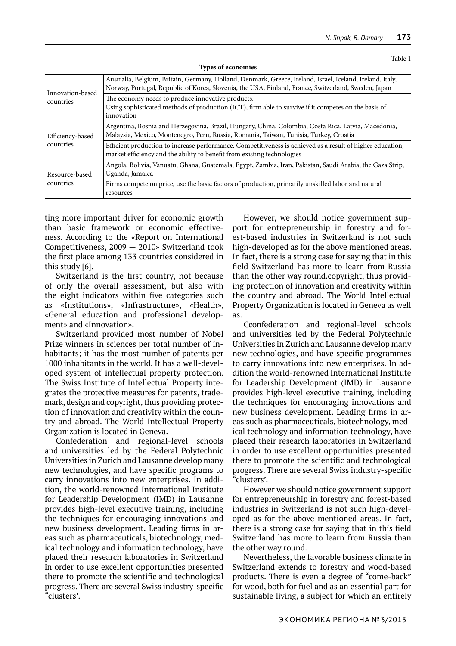Table 1

| Innovation-based | Australia, Belgium, Britain, Germany, Holland, Denmark, Greece, Ireland, Israel, Iceland, Ireland, Italy,<br>Norway, Portugal, Republic of Korea, Slovenia, the USA, Finland, France, Switzerland, Sweden, Japan |
|------------------|------------------------------------------------------------------------------------------------------------------------------------------------------------------------------------------------------------------|
| countries        | The economy needs to produce innovative products.<br>Using sophisticated methods of production (ICT), firm able to survive if it competes on the basis of<br>innovation                                          |
| Efficiency-based | Argentina, Bosnia and Herzegovina, Brazil, Hungary, China, Colombia, Costa Rica, Latvia, Macedonia,<br>Malaysia, Mexico, Montenegro, Peru, Russia, Romania, Taiwan, Tunisia, Turkey, Croatia                     |
| countries        | Efficient production to increase performance. Competitiveness is achieved as a result of higher education,<br>market efficiency and the ability to benefit from existing technologies                            |
| Resource-based   | Angola, Bolivia, Vanuatu, Ghana, Guatemala, Egypt, Zambia, Iran, Pakistan, Saudi Arabia, the Gaza Strip,<br>Uganda, Jamaica                                                                                      |
| countries        | Firms compete on price, use the basic factors of production, primarily unskilled labor and natural<br>resources                                                                                                  |

**Types of economies**

ting more important driver for economic growth than basic framework or economic effectiveness. According to the «Report on International Competitiveness, 2009 — 2010» Switzerland took the first place among 133 countries considered in this study [6].

Switzerland is the first country, not because of only the overall assessment, but also with the eight indicators within five categories such as «Institutions», «Infrastructure», «Health», «General education and professional development» and «Innovation».

Switzerland provided most number of Nobel Prize winners in sciences per total number of inhabitants; it has the most number of patents per 1000 inhabitants in the world. It has a well-developed system of intellectual property protection. The Swiss Institute of Intellectual Property integrates the protective measures for patents, trademark, design and copyright, thus providing protection of innovation and creativity within the country and abroad. The World Intellectual Property Organization is located in Geneva.

Confederation and regional-level schools and universities led by the Federal Polytechnic Universities in Zurich and Lausanne develop many new technologies, and have specific programs to carry innovations into new enterprises. In addition, the world-renowned International Institute for Leadership Development (IMD) in Lausanne provides high-level executive training, including the techniques for encouraging innovations and new business development. Leading firms in areas such as pharmaceuticals, biotechnology, medical technology and information technology, have placed their research laboratories in Switzerland in order to use excellent opportunities presented there to promote the scientific and technological progress. There are several Swiss industry-specific "clusters'.

However, we should notice government support for entrepreneurship in forestry and forest-based industries in Switzerland is not such high-developed as for the above mentioned areas. In fact, there is a strong case for saying that in this field Switzerland has more to learn from Russia than the other way round.copyright, thus providing protection of innovation and creativity within the country and abroad. The World Intellectual Property Organization is located in Geneva as well as.

Cconfederation and regional-level schools and universities led by the Federal Polytechnic Universities in Zurich and Lausanne develop many new technologies, and have specific programmes to carry innovations into new enterprises. In addition the world-renowned International Institute for Leadership Development (IMD) in Lausanne provides high-level executive training, including the techniques for encouraging innovations and new business development. Leading firms in areas such as pharmaceuticals, biotechnology, medical technology and information technology, have placed their research laboratories in Switzerland in order to use excellent opportunities presented there to promote the scientific and technological progress. There are several Swiss industry-specific "clusters'.

However we should notice government support for entrepreneurship in forestry and forest-based industries in Switzerland is not such high-developed as for the above mentioned areas. In fact, there is a strong case for saying that in this field Switzerland has more to learn from Russia than the other way round.

Nevertheless, the favorable business climate in Switzerland extends to forestry and wood-based products. There is even a degree of "come-back" for wood, both for fuel and as an essential part for sustainable living, a subject for which an entirely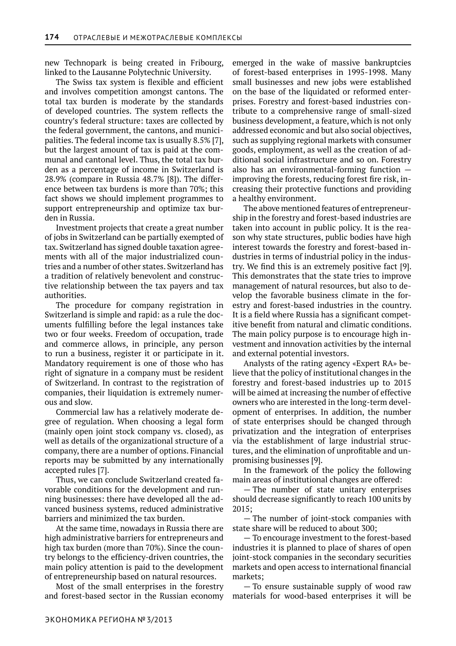new Technopark is being created in Fribourg, linked to the Lausanne Polytechnic University.

The Swiss tax system is flexible and efficient and involves competition amongst cantons. The total tax burden is moderate by the standards of developed countries. The system reflects the country's federal structure: taxes are collected by the federal government, the cantons, and municipalities. The federal income tax is usually 8.5% [7], but the largest amount of tax is paid at the communal and cantonal level. Thus, the total tax burden as a percentage of income in Switzerland is 28.9% (compare in Russia 48.7% [8]). The difference between tax burdens is more than 70%; this fact shows we should implement programmes to support entrepreneurship and optimize tax burden in Russia.

Investment projects that create a great number of jobs in Switzerland can be partially exempted of tax. Switzerland has signed double taxation agreements with all of the major industrialized countries and a number of other states. Switzerland has a tradition of relatively benevolent and constructive relationship between the tax payers and tax authorities.

The procedure for company registration in Switzerland is simple and rapid: as a rule the documents fulfilling before the legal instances take two or four weeks. Freedom of occupation, trade and commerce allows, in principle, any person to run a business, register it or participate in it. Mandatory requirement is one of those who has right of signature in a company must be resident of Switzerland. In contrast to the registration of companies, their liquidation is extremely numerous and slow.

Commercial law has a relatively moderate degree of regulation. When choosing a legal form (mainly open joint stock company vs. closed), as well as details of the organizational structure of a company, there are a number of options. Financial reports may be submitted by any internationally accepted rules [7].

Thus, we can conclude Switzerland created favorable conditions for the development and running businesses: there have developed all the advanced business systems, reduced administrative barriers and minimized the tax burden.

At the same time, nowadays in Russia there are high administrative barriers for entrepreneurs and high tax burden (more than 70%). Since the country belongs to the efficiency-driven countries, the main policy attention is paid to the development of entrepreneurship based on natural resources.

Most of the small enterprises in the forestry and forest-based sector in the Russian economy emerged in the wake of massive bankruptcies of forest-based enterprises in 1995-1998. Many small businesses and new jobs were established on the base of the liquidated or reformed enterprises. Forestry and forest-based industries contribute to a comprehensive range of small-sized business development, a feature, which is not only addressed economic and but also social objectives, such as supplying regional markets with consumer goods, employment, as well as the creation of additional social infrastructure and so on. Forestry also has an environmental-forming function improving the forests, reducing forest fire risk, increasing their protective functions and providing a healthy environment.

The above mentioned features of entrepreneurship in the forestry and forest-based industries are taken into account in public policy. It is the reason why state structures, public bodies have high interest towards the forestry and forest-based industries in terms of industrial policy in the industry. We find this is an extremely positive fact [9]. This demonstrates that the state tries to improve management of natural resources, but also to develop the favorable business climate in the forestry and forest-based industries in the country. It is a field where Russia has a significant competitive benefit from natural and climatic conditions. The main policy purpose is to encourage high investment and innovation activities by the internal and external potential investors.

Analysts of the rating agency «Expert RA» believe that the policy of institutional changes in the forestry and forest-based industries up to 2015 will be aimed at increasing the number of effective owners who are interested in the long-term development of enterprises. In addition, the number of state enterprises should be changed through privatization and the integration of enterprises via the establishment of large industrial structures, and the elimination of unprofitable and unpromising businesses [9].

In the framework of the policy the following main areas of institutional changes are offered:

— The number of state unitary enterprises should decrease significantly to reach 100 units by 2015;

— The number of joint-stock companies with state share will be reduced to about 300;

— To encourage investment to the forest-based industries it is planned to place of shares of open joint-stock companies in the secondary securities markets and open access to international financial markets;

— To ensure sustainable supply of wood raw materials for wood-based enterprises it will be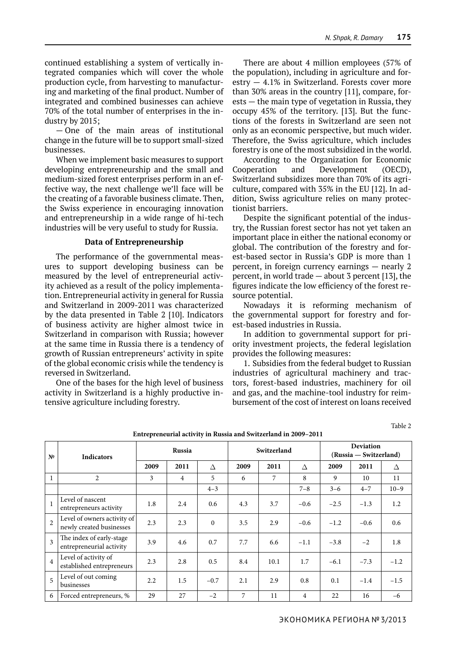continued establishing a system of vertically integrated companies which will cover the whole production cycle, from harvesting to manufacturing and marketing of the final product. Number of integrated and combined businesses can achieve 70% of the total number of enterprises in the industry by 2015;

— One of the main areas of institutional change in the future will be to support small-sized businesses.

When we implement basic measures to support developing entrepreneurship and the small and medium-sized forest enterprises perform in an effective way, the next challenge we'll face will be the creating of a favorable business climate. Then, the Swiss experience in encouraging innovation and entrepreneurship in a wide range of hi-tech industries will be very useful to study for Russia.

## **Data of Entrepreneurship**

The performance of the governmental measures to support developing business can be measured by the level of entrepreneurial activity achieved as a result of the policy implementation. Entrepreneurial activity in general for Russia and Switzerland in 2009-2011 was characterized by the data presented in Table 2 [10]. Indicators of business activity are higher almost twice in Switzerland in comparison with Russia; however at the same time in Russia there is a tendency of growth of Russian entrepreneurs' activity in spite of the global economic crisis while the tendency is reversed in Switzerland.

One of the bases for the high level of business activity in Switzerland is a highly productive intensive agriculture including forestry.

There are about 4 million employees (57% of the population), including in agriculture and forestry  $-4.1\%$  in Switzerland. Forests cover more than 30% areas in the country [11], compare, forests — the main type of vegetation in Russia, they occupy 45% of the territory. [13]. But the functions of the forests in Switzerland are seen not only as an economic perspective, but much wider. Therefore, the Swiss agriculture, which includes forestry is one of the most subsidized in the world.

According to the Organization for Economic Cooperation and Development (OECD), Switzerland subsidizes more than 70% of its agriculture, compared with 35% in the EU [12]. In addition, Swiss agriculture relies on many protectionist barriers.

Despite the significant potential of the industry, the Russian forest sector has not yet taken an important place in either the national economy or global. The contribution of the forestry and forest-based sector in Russia's GDP is more than 1 percent, in foreign currency earnings — nearly 2 percent, in world trade — about 3 percent [13], the figures indicate the low efficiency of the forest resource potential.

Nowadays it is reforming mechanism of the governmental support for forestry and forest-based industries in Russia.

In addition to governmental support for priority investment projects, the federal legislation provides the following measures:

1. Subsidies from the federal budget to Russian industries of agricultural machinery and tractors, forest-based industries, machinery for oil and gas, and the machine-tool industry for reimbursement of the cost of interest on loans received

Table 2

| N <sup>o</sup> | <b>Indicators</b>                                       | <b>Russia</b> |                |              | Switzerland |      |         | Deviation<br>(Russia - Switzerland) |         |          |
|----------------|---------------------------------------------------------|---------------|----------------|--------------|-------------|------|---------|-------------------------------------|---------|----------|
|                |                                                         | 2009          | 2011           | Δ            | 2009        | 2011 | Δ       | 2009                                | 2011    | Δ        |
| $\mathbf{1}$   | 2                                                       | 3             | $\overline{4}$ | 5            | 6           | 7    | 8       | 9                                   | 10      | 11       |
|                |                                                         |               |                | $4 - 3$      |             |      | $7 - 8$ | $3 - 6$                             | $4 - 7$ | $10 - 9$ |
| $\mathbf{1}$   | Level of nascent<br>entrepreneurs activity              | 1.8           | 2.4            | 0.6          | 4.3         | 3.7  | $-0.6$  | $-2.5$                              | $-1.3$  | 1.2      |
| $\mathcal{D}$  | Level of owners activity of<br>newly created businesses | 2.3           | 2.3            | $\mathbf{0}$ | 3.5         | 2.9  | $-0.6$  | $-1.2$                              | $-0.6$  | 0.6      |
| $\mathbf{3}$   | The index of early-stage<br>entrepreneurial activity    | 3.9           | 4.6            | 0.7          | 7.7         | 6.6  | $-1.1$  | $-3.8$                              | $-2$    | 1.8      |
| $\overline{4}$ | Level of activity of<br>established entrepreneurs       | 2.3           | 2.8            | 0.5          | 8.4         | 10.1 | 1.7     | $-6.1$                              | $-7.3$  | $-1.2$   |
| $\overline{5}$ | Level of out coming<br>businesses                       | 2.2           | 1.5            | $-0.7$       | 2.1         | 2.9  | 0.8     | 0.1                                 | $-1.4$  | $-1.5$   |
| 6              | Forced entrepreneurs, %                                 | 29            | 27             | $-2$         | 7           | 11   | 4       | 22                                  | 16      | $-6$     |

**Entrepreneurial activity in Russia and Switzerland in 2009–2011**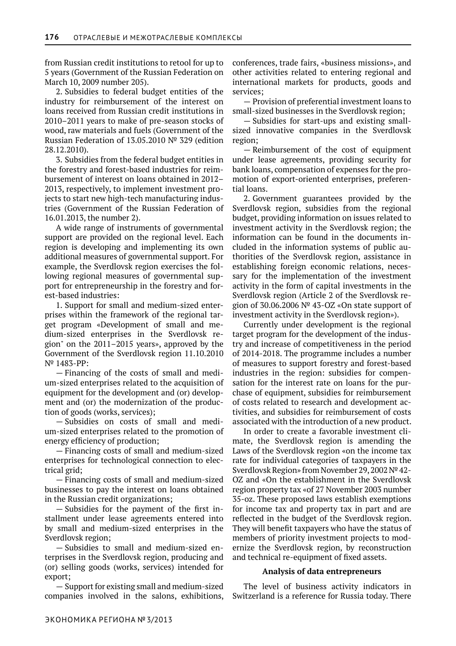from Russian credit institutions to retool for up to 5 years (Government of the Russian Federation on March 10, 2009 number 205).

2. Subsidies to federal budget entities of the industry for reimbursement of the interest on loans received from Russian credit institutions in 2010–2011 years to make of pre-season stocks of wood, raw materials and fuels (Government of the Russian Federation of 13.05.2010 № 329 (edition 28.12.2010).

3. Subsidies from the federal budget entities in the forestry and forest-based industries for reimbursement of interest on loans obtained in 2012– 2013, respectively, to implement investment projects to start new high-tech manufacturing industries (Government of the Russian Federation of 16.01.2013, the number 2).

A wide range of instruments of governmental support are provided on the regional level. Each region is developing and implementing its own additional measures of governmental support. For example, the Sverdlovsk region exercises the following regional measures of governmental support for entrepreneurship in the forestry and forest-based industries:

1. Support for small and medium-sized enterprises within the framework of the regional target program «Development of small and medium-sized enterprises in the Sverdlovsk region" on the 2011–2015 years», approved by the Government of the Sverdlovsk region 11.10.2010 № 1483-PP:

— Financing of the costs of small and medium-sized enterprises related to the acquisition of equipment for the development and (or) development and (or) the modernization of the production of goods (works, services);

— Subsidies on costs of small and medium-sized enterprises related to the promotion of energy efficiency of production;

— Financing costs of small and medium-sized enterprises for technological connection to electrical grid;

— Financing costs of small and medium-sized businesses to pay the interest on loans obtained in the Russian credit organizations;

— Subsidies for the payment of the first installment under lease agreements entered into by small and medium-sized enterprises in the Sverdlovsk region;

— Subsidies to small and medium-sized enterprises in the Sverdlovsk region, producing and (or) selling goods (works, services) intended for export;

— Support for existing small and medium-sized companies involved in the salons, exhibitions, conferences, trade fairs, «business missions», and other activities related to entering regional and international markets for products, goods and services;

— Provision of preferential investment loans to small-sized businesses in the Sverdlovsk region;

— Subsidies for start-ups and existing smallsized innovative companies in the Sverdlovsk region;

— Reimbursement of the cost of equipment under lease agreements, providing security for bank loans, compensation of expenses for the promotion of export-oriented enterprises, preferential loans.

2. Government guarantees provided by the Sverdlovsk region, subsidies from the regional budget, providing information on issues related to investment activity in the Sverdlovsk region; the information can be found in the documents included in the information systems of public authorities of the Sverdlovsk region, assistance in establishing foreign economic relations, necessary for the implementation of the investment activity in the form of capital investments in the Sverdlovsk region (Article 2 of the Sverdlovsk region of 30.06.2006  $N^{\circ}$  43-OZ «On state support of investment activity in the Sverdlovsk region»).

Currently under development is the regional target program for the development of the industry and increase of competitiveness in the period of 2014-2018. The programme includes a number of measures to support forestry and forest-based industries in the region: subsidies for compensation for the interest rate on loans for the purchase of equipment, subsidies for reimbursement of costs related to research and development activities, and subsidies for reimbursement of costs associated with the introduction of a new product.

In order to create a favorable investment climate, the Sverdlovsk region is amending the Laws of the Sverdlovsk region «on the income tax rate for individual categories of taxpayers in the Sverdlovsk Region» from November 29, 2002 № 42- OZ and «On the establishment in the Sverdlovsk region property tax «of 27 November 2003 number 35-oz. These proposed laws establish exemptions for income tax and property tax in part and are reflected in the budget of the Sverdlovsk region. They will benefit taxpayers who have the status of members of priority investment projects to modernize the Sverdlovsk region, by reconstruction and technical re-equipment of fixed assets.

#### **Analysis of data entrepreneurs**

The level of business activity indicators in Switzerland is a reference for Russia today. There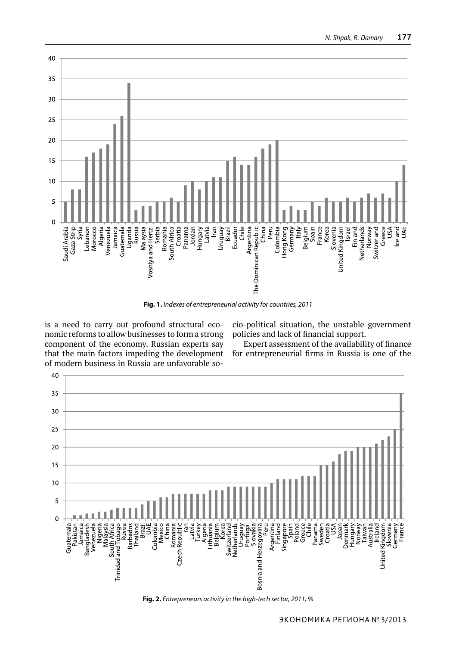

**Fig. 1.** *Indexes of entrepreneurial activity for countries, 2011*

is a need to carry out profound structural economic reforms to allow businesses to form a strong component of the economy. Russian experts say that the main factors impeding the development of modern business in Russia are unfavorable socio-political situation, the unstable government policies and lack of financial support.

Expert assessment of the availability of finance for entrepreneurial firms in Russia is one of the



**Fig. 2.** *Entrepreneurs activity in the high-tech sector, 2011, %*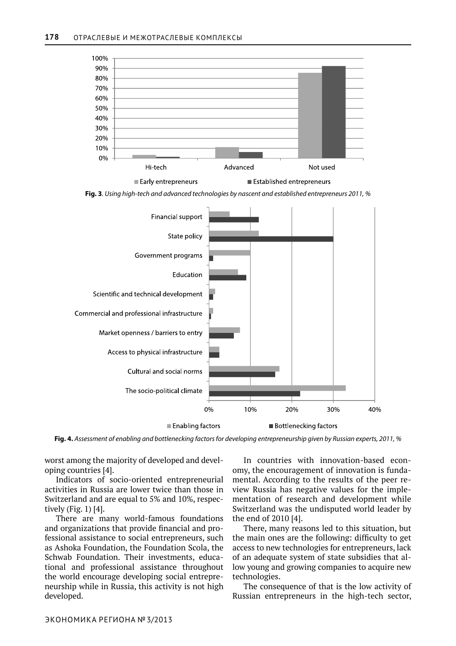

**Fig. 4.** *Assessment of enabling and bottlenecking factors for developing entrepreneurship given by Russian experts, 2011, %*

worst among the majority of developed and developing countries [4].

Indicators of socio-oriented entrepreneurial activities in Russia are lower twice than those in Switzerland and are equal to 5% and 10%, respectively (Fig. 1) [4].

There are many world-famous foundations and organizations that provide financial and professional assistance to social entrepreneurs, such as Ashoka Foundation, the Foundation Scola, the Schwab Foundation. Their investments, educational and professional assistance throughout the world encourage developing social entrepreneurship while in Russia, this activity is not high developed.

In countries with innovation-based economy, the encouragement of innovation is fundamental. According to the results of the peer review Russia has negative values for the implementation of research and development while Switzerland was the undisputed world leader by the end of 2010 [4].

There, many reasons led to this situation, but the main ones are the following: difficulty to get access to new technologies for entrepreneurs, lack of an adequate system of state subsidies that allow young and growing companies to acquire new technologies.

The consequence of that is the low activity of Russian entrepreneurs in the high-tech sector,